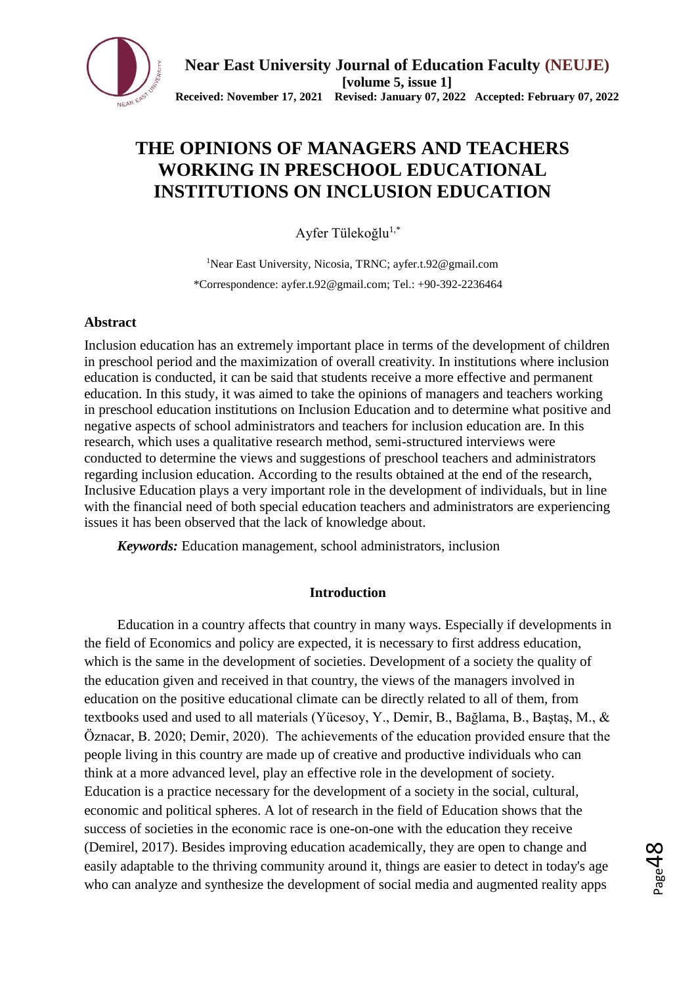

# **THE OPINIONS OF MANAGERS AND TEACHERS WORKING IN PRESCHOOL EDUCATIONAL INSTITUTIONS ON INCLUSION EDUCATION**

Ayfer Tülekoğlu<sup>1,\*</sup>

<sup>1</sup>Near East University, Nicosia, TRNC; ayfer.t.92@gmail.com \*Correspondence: ayfer.t.92@gmail.com; Tel.: +90-392-2236464

# **Abstract**

Inclusion education has an extremely important place in terms of the development of children in preschool period and the maximization of overall creativity. In institutions where inclusion education is conducted, it can be said that students receive a more effective and permanent education. In this study, it was aimed to take the opinions of managers and teachers working in preschool education institutions on Inclusion Education and to determine what positive and negative aspects of school administrators and teachers for inclusion education are. In this research, which uses a qualitative research method, semi-structured interviews were conducted to determine the views and suggestions of preschool teachers and administrators regarding inclusion education. According to the results obtained at the end of the research, Inclusive Education plays a very important role in the development of individuals, but in line with the financial need of both special education teachers and administrators are experiencing issues it has been observed that the lack of knowledge about.

*Keywords:* Education management, school administrators, inclusion

# **Introduction**

Education in a country affects that country in many ways. Especially if developments in the field of Economics and policy are expected, it is necessary to first address education, which is the same in the development of societies. Development of a society the quality of the education given and received in that country, the views of the managers involved in education on the positive educational climate can be directly related to all of them, from textbooks used and used to all materials (Yücesoy, Y., Demir, B., Bağlama, B., Baştaş, M., & Öznacar, B. 2020; Demir, 2020). The achievements of the education provided ensure that the people living in this country are made up of creative and productive individuals who can think at a more advanced level, play an effective role in the development of society. Education is a practice necessary for the development of a society in the social, cultural, economic and political spheres. A lot of research in the field of Education shows that the success of societies in the economic race is one-on-one with the education they receive (Demirel, 2017). Besides improving education academically, they are open to change and easily adaptable to the thriving community around it, things are easier to detect in today's age who can analyze and synthesize the development of social media and augmented reality apps

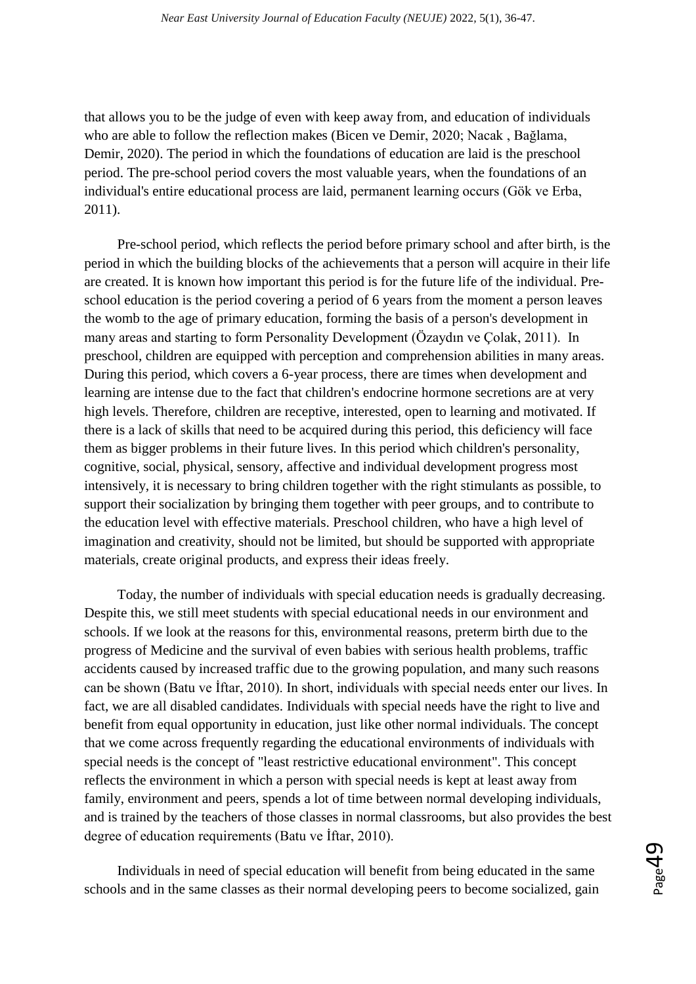that allows you to be the judge of even with keep away from, and education of individuals who are able to follow the reflection makes (Bicen ve Demir, 2020; Nacak , Bağlama, Demir, 2020). The period in which the foundations of education are laid is the preschool period. The pre-school period covers the most valuable years, when the foundations of an individual's entire educational process are laid, permanent learning occurs (Gök ve Erba, 2011).

Pre-school period, which reflects the period before primary school and after birth, is the period in which the building blocks of the achievements that a person will acquire in their life are created. It is known how important this period is for the future life of the individual. Preschool education is the period covering a period of 6 years from the moment a person leaves the womb to the age of primary education, forming the basis of a person's development in many areas and starting to form Personality Development (Özaydın ve Çolak, 2011). In preschool, children are equipped with perception and comprehension abilities in many areas. During this period, which covers a 6-year process, there are times when development and learning are intense due to the fact that children's endocrine hormone secretions are at very high levels. Therefore, children are receptive, interested, open to learning and motivated. If there is a lack of skills that need to be acquired during this period, this deficiency will face them as bigger problems in their future lives. In this period which children's personality, cognitive, social, physical, sensory, affective and individual development progress most intensively, it is necessary to bring children together with the right stimulants as possible, to support their socialization by bringing them together with peer groups, and to contribute to the education level with effective materials. Preschool children, who have a high level of imagination and creativity, should not be limited, but should be supported with appropriate materials, create original products, and express their ideas freely.

Today, the number of individuals with special education needs is gradually decreasing. Despite this, we still meet students with special educational needs in our environment and schools. If we look at the reasons for this, environmental reasons, preterm birth due to the progress of Medicine and the survival of even babies with serious health problems, traffic accidents caused by increased traffic due to the growing population, and many such reasons can be shown (Batu ve İftar, 2010). In short, individuals with special needs enter our lives. In fact, we are all disabled candidates. Individuals with special needs have the right to live and benefit from equal opportunity in education, just like other normal individuals. The concept that we come across frequently regarding the educational environments of individuals with special needs is the concept of "least restrictive educational environment". This concept reflects the environment in which a person with special needs is kept at least away from family, environment and peers, spends a lot of time between normal developing individuals, and is trained by the teachers of those classes in normal classrooms, but also provides the best degree of education requirements (Batu ve İftar, 2010).

Individuals in need of special education will benefit from being educated in the same schools and in the same classes as their normal developing peers to become socialized, gain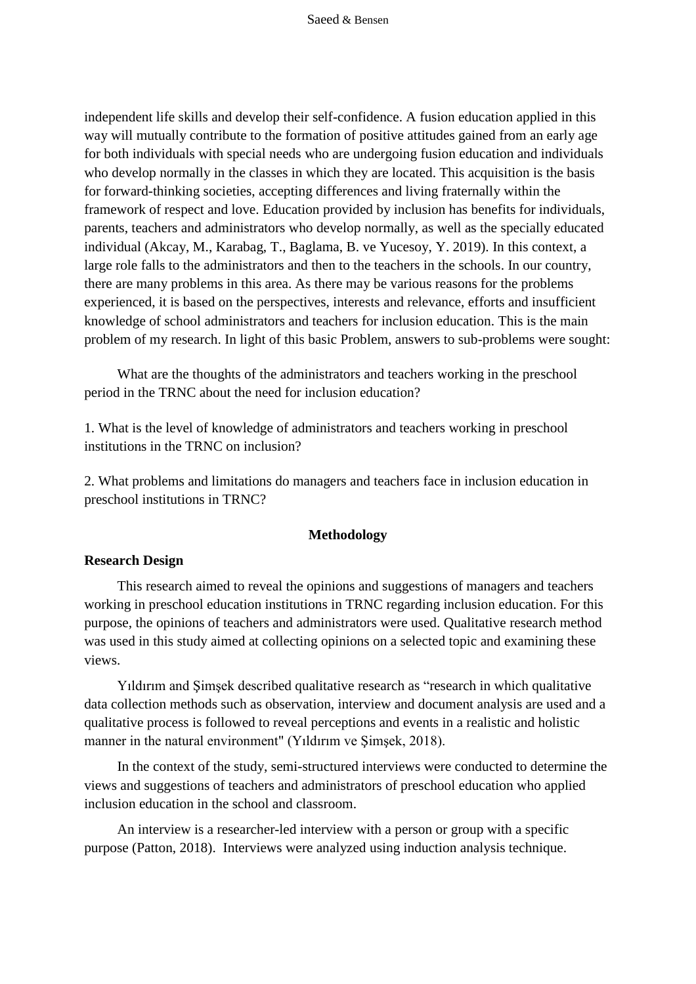independent life skills and develop their self-confidence. A fusion education applied in this way will mutually contribute to the formation of positive attitudes gained from an early age for both individuals with special needs who are undergoing fusion education and individuals who develop normally in the classes in which they are located. This acquisition is the basis for forward-thinking societies, accepting differences and living fraternally within the framework of respect and love. Education provided by inclusion has benefits for individuals, parents, teachers and administrators who develop normally, as well as the specially educated individual (Akcay, M., Karabag, T., Baglama, B. ve Yucesoy, Y. 2019). In this context, a large role falls to the administrators and then to the teachers in the schools. In our country, there are many problems in this area. As there may be various reasons for the problems experienced, it is based on the perspectives, interests and relevance, efforts and insufficient knowledge of school administrators and teachers for inclusion education. This is the main problem of my research. In light of this basic Problem, answers to sub-problems were sought:

What are the thoughts of the administrators and teachers working in the preschool period in the TRNC about the need for inclusion education?

1. What is the level of knowledge of administrators and teachers working in preschool institutions in the TRNC on inclusion?

2. What problems and limitations do managers and teachers face in inclusion education in preschool institutions in TRNC?

#### **Methodology**

#### **Research Design**

This research aimed to reveal the opinions and suggestions of managers and teachers working in preschool education institutions in TRNC regarding inclusion education. For this purpose, the opinions of teachers and administrators were used. Qualitative research method was used in this study aimed at collecting opinions on a selected topic and examining these views.

Yıldırım and Şimşek described qualitative research as "research in which qualitative data collection methods such as observation, interview and document analysis are used and a qualitative process is followed to reveal perceptions and events in a realistic and holistic manner in the natural environment" (Yıldırım ve Şimşek, 2018).

In the context of the study, semi-structured interviews were conducted to determine the views and suggestions of teachers and administrators of preschool education who applied inclusion education in the school and classroom.

An interview is a researcher-led interview with a person or group with a specific purpose (Patton, 2018). Interviews were analyzed using induction analysis technique.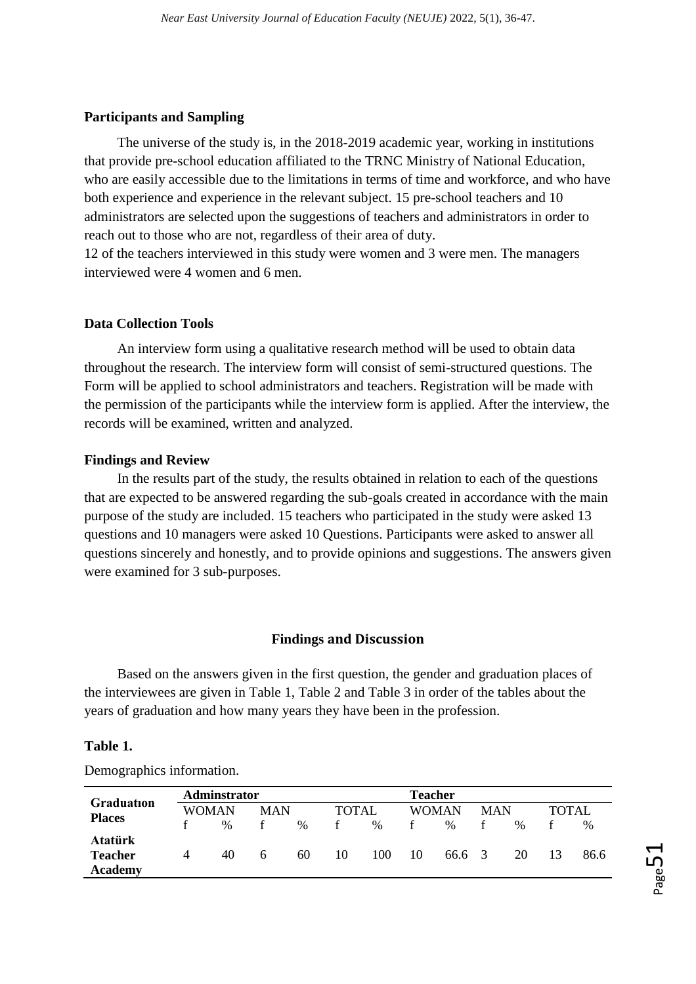#### **Participants and Sampling**

The universe of the study is, in the 2018-2019 academic year, working in institutions that provide pre-school education affiliated to the TRNC Ministry of National Education, who are easily accessible due to the limitations in terms of time and workforce, and who have both experience and experience in the relevant subject. 15 pre-school teachers and 10 administrators are selected upon the suggestions of teachers and administrators in order to reach out to those who are not, regardless of their area of duty.

12 of the teachers interviewed in this study were women and 3 were men. The managers interviewed were 4 women and 6 men.

## **Data Collection Tools**

An interview form using a qualitative research method will be used to obtain data throughout the research. The interview form will consist of semi-structured questions. The Form will be applied to school administrators and teachers. Registration will be made with the permission of the participants while the interview form is applied. After the interview, the records will be examined, written and analyzed.

#### **Findings and Review**

In the results part of the study, the results obtained in relation to each of the questions that are expected to be answered regarding the sub-goals created in accordance with the main purpose of the study are included. 15 teachers who participated in the study were asked 13 questions and 10 managers were asked 10 Questions. Participants were asked to answer all questions sincerely and honestly, and to provide opinions and suggestions. The answers given were examined for 3 sub-purposes.

## **Findings and Discussion**

Based on the answers given in the first question, the gender and graduation places of the interviewees are given in Table 1, Table 2 and Table 3 in order of the tables about the years of graduation and how many years they have been in the profession.

#### **Table 1.**

Demographics information.

| <b>Graduation</b> |   | Adminstrator |            |      |              | <b>Teacher</b> |       |        |            |               |        |      |
|-------------------|---|--------------|------------|------|--------------|----------------|-------|--------|------------|---------------|--------|------|
| <b>Places</b>     |   | WOMAN        | <b>MAN</b> |      | <b>TOTAL</b> |                | WOMAN |        | <b>MAN</b> |               | TOTAL. |      |
|                   |   | $\%$         |            | $\%$ |              | $\frac{0}{0}$  |       | $\%$   |            | $\frac{0}{0}$ |        | $\%$ |
| Atatürk           |   |              |            |      |              |                |       |        |            |               |        |      |
| <b>Teacher</b>    | 4 | 40           | 6          | 60   | 10           | 100            | 10    | 66.6 3 |            | 20            | 13     | 86.6 |
| <b>Academy</b>    |   |              |            |      |              |                |       |        |            |               |        |      |

 $_{\rm Page}$ 51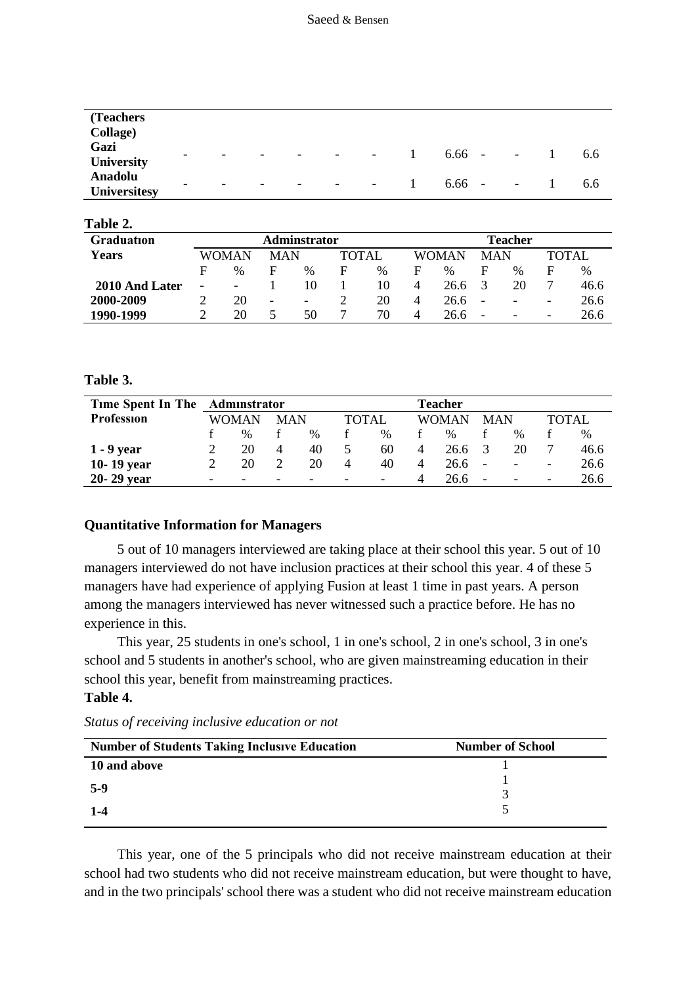| (Teachers)                            |                          |   |                          |                          |   |                          |                    |                          |     |
|---------------------------------------|--------------------------|---|--------------------------|--------------------------|---|--------------------------|--------------------|--------------------------|-----|
| Collage)                              |                          |   |                          |                          |   |                          |                    |                          |     |
| Gazi<br>University                    | $\overline{\phantom{0}}$ | - | $\overline{\phantom{0}}$ | $\overline{\phantom{0}}$ | - | $\overline{\phantom{a}}$ | 6.66<br>$\sim$ $-$ | $\overline{\phantom{a}}$ | 6.6 |
| <b>Anadolu</b><br><b>Universitesy</b> | $\overline{\phantom{0}}$ | - | $\overline{\phantom{0}}$ | $\overline{\phantom{0}}$ | - | $\overline{\phantom{a}}$ | 6.66<br>$\sim$ $-$ | $\overline{\phantom{a}}$ | 6.6 |

| 1 avit 4.      |                          |                                     |                          |                          |   |         |       |               |                          |                          |                          |      |  |
|----------------|--------------------------|-------------------------------------|--------------------------|--------------------------|---|---------|-------|---------------|--------------------------|--------------------------|--------------------------|------|--|
| Graduation     |                          |                                     |                          | <b>Adminstrator</b>      |   | Teacher |       |               |                          |                          |                          |      |  |
| Years          |                          | <b>TOTAL</b><br>WOMAN<br><b>MAN</b> |                          |                          |   |         | WOMAN | <b>MAN</b>    |                          | <b>TOTAL</b>             |                          |      |  |
|                | F                        | $\%$                                | F                        | $\%$                     | F | $\%$    | F     | $\frac{0}{0}$ | F                        | $\%$                     | F                        | $\%$ |  |
| 2010 And Later | $\overline{\phantom{0}}$ | $\overline{\phantom{a}}$            |                          | 10                       |   | 10      | 4     | 26.6          | 3                        | 20                       | 7                        | 46.6 |  |
| 2000-2009      |                          | 20                                  | $\overline{\phantom{a}}$ | $\overline{\phantom{a}}$ |   | 20      | 4     | 26.6          | $\overline{\phantom{a}}$ | $\overline{\phantom{a}}$ | -                        | 26.6 |  |
| 1990-1999      |                          | 20                                  |                          | 50                       |   | 70      | 4     | 26.6          | $\overline{\phantom{a}}$ | $\overline{\phantom{a}}$ | $\overline{\phantom{0}}$ | 26.6 |  |

**Table 3.**

**Table 2.**

| Time Spent In The Adminstrator |              |                          |            |      | Teacher |                          |                |      |                          |                          |                          |      |
|--------------------------------|--------------|--------------------------|------------|------|---------|--------------------------|----------------|------|--------------------------|--------------------------|--------------------------|------|
| <b>Profession</b>              | <b>WOMAN</b> |                          | <b>MAN</b> |      | TOTAL   |                          | WOMAN          |      | <b>MAN</b>               |                          | <b>TOTAL</b>             |      |
|                                |              | $\%$                     |            | $\%$ |         | $\%$                     |                | $\%$ |                          | $\%$                     |                          | $\%$ |
| $1 - 9$ year                   |              | 20                       | 4          | 40   |         | 60                       | 4              | 26.6 | $\mathcal{R}$            | 20                       |                          | 46.6 |
| 10-19 year                     |              | 20                       |            | 20   | 4       | 40                       | $\overline{4}$ | 26.6 | $\overline{\phantom{a}}$ | -                        | $\overline{\phantom{a}}$ | 26.6 |
| 20-29 year                     | -            | $\overline{\phantom{0}}$ | -          |      |         | $\overline{\phantom{0}}$ | 4              | 26.6 | $\overline{\phantom{a}}$ | $\overline{\phantom{a}}$ |                          | 26.6 |

### **Quantitative Information for Managers**

5 out of 10 managers interviewed are taking place at their school this year. 5 out of 10 managers interviewed do not have inclusion practices at their school this year. 4 of these 5 managers have had experience of applying Fusion at least 1 time in past years. A person among the managers interviewed has never witnessed such a practice before. He has no experience in this.

This year, 25 students in one's school, 1 in one's school, 2 in one's school, 3 in one's school and 5 students in another's school, who are given mainstreaming education in their school this year, benefit from mainstreaming practices.

## **Table 4.**

*Status of receiving inclusive education or not*

| <b>Number of Students Taking Inclusive Education</b> | <b>Number of School</b> |  |
|------------------------------------------------------|-------------------------|--|
| 10 and above                                         |                         |  |
| $5-9$                                                |                         |  |
|                                                      |                         |  |
| $1 - 4$                                              |                         |  |

This year, one of the 5 principals who did not receive mainstream education at their school had two students who did not receive mainstream education, but were thought to have, and in the two principals' school there was a student who did not receive mainstream education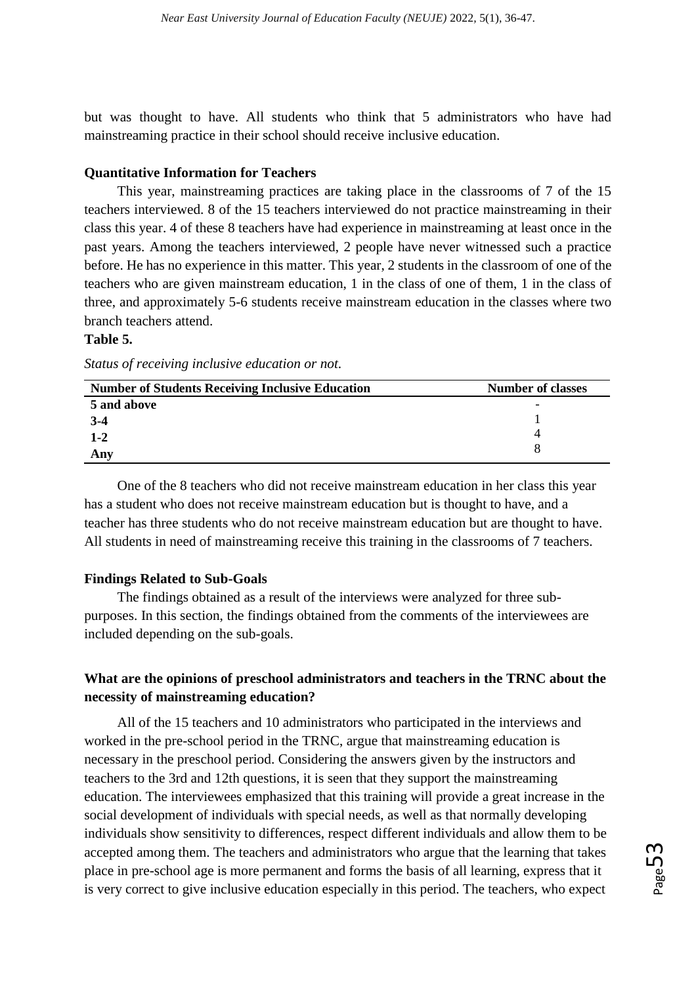but was thought to have. All students who think that 5 administrators who have had mainstreaming practice in their school should receive inclusive education.

## **Quantitative Information for Teachers**

This year, mainstreaming practices are taking place in the classrooms of 7 of the 15 teachers interviewed. 8 of the 15 teachers interviewed do not practice mainstreaming in their class this year. 4 of these 8 teachers have had experience in mainstreaming at least once in the past years. Among the teachers interviewed, 2 people have never witnessed such a practice before. He has no experience in this matter. This year, 2 students in the classroom of one of the teachers who are given mainstream education, 1 in the class of one of them, 1 in the class of three, and approximately 5-6 students receive mainstream education in the classes where two branch teachers attend.

## **Table 5.**

| <b>Number of Students Receiving Inclusive Education</b> | <b>Number of classes</b> |
|---------------------------------------------------------|--------------------------|
| 5 and above                                             | $\overline{\phantom{0}}$ |
| $3-4$                                                   |                          |
| $1 - 2$                                                 |                          |
| Any                                                     |                          |

One of the 8 teachers who did not receive mainstream education in her class this year has a student who does not receive mainstream education but is thought to have, and a teacher has three students who do not receive mainstream education but are thought to have. All students in need of mainstreaming receive this training in the classrooms of 7 teachers.

# **Findings Related to Sub-Goals**

The findings obtained as a result of the interviews were analyzed for three subpurposes. In this section, the findings obtained from the comments of the interviewees are included depending on the sub-goals.

# **What are the opinions of preschool administrators and teachers in the TRNC about the necessity of mainstreaming education?**

All of the 15 teachers and 10 administrators who participated in the interviews and worked in the pre-school period in the TRNC, argue that mainstreaming education is necessary in the preschool period. Considering the answers given by the instructors and teachers to the 3rd and 12th questions, it is seen that they support the mainstreaming education. The interviewees emphasized that this training will provide a great increase in the social development of individuals with special needs, as well as that normally developing individuals show sensitivity to differences, respect different individuals and allow them to be accepted among them. The teachers and administrators who argue that the learning that takes place in pre-school age is more permanent and forms the basis of all learning, express that it is very correct to give inclusive education especially in this period. The teachers, who expect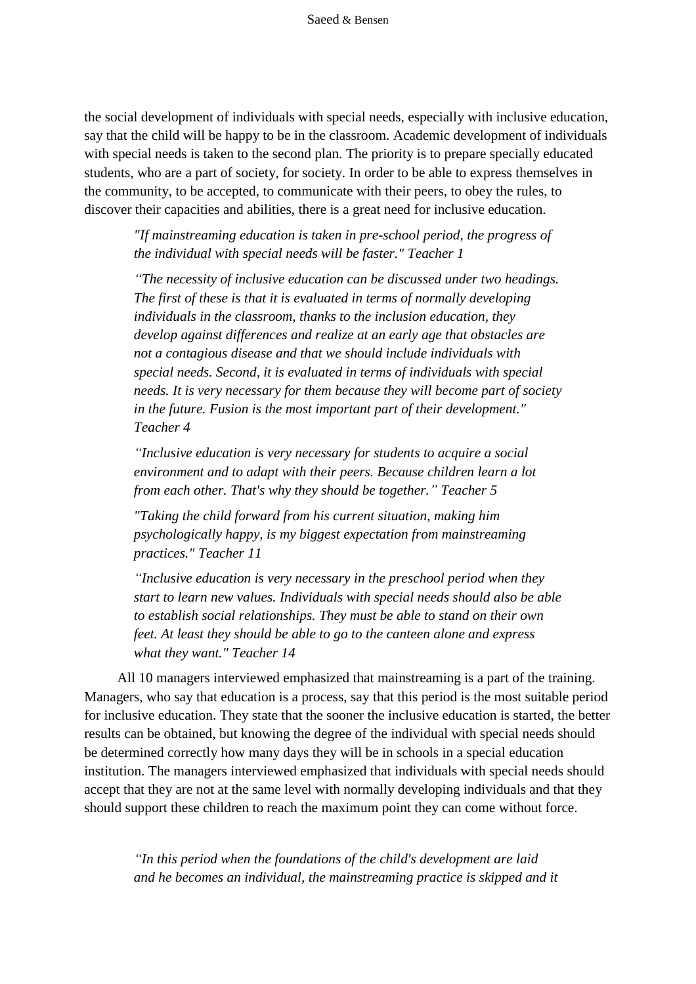the social development of individuals with special needs, especially with inclusive education, say that the child will be happy to be in the classroom. Academic development of individuals with special needs is taken to the second plan. The priority is to prepare specially educated students, who are a part of society, for society. In order to be able to express themselves in the community, to be accepted, to communicate with their peers, to obey the rules, to discover their capacities and abilities, there is a great need for inclusive education.

*"If mainstreaming education is taken in pre-school period, the progress of the individual with special needs will be faster." Teacher 1*

*"The necessity of inclusive education can be discussed under two headings. The first of these is that it is evaluated in terms of normally developing individuals in the classroom, thanks to the inclusion education, they develop against differences and realize at an early age that obstacles are not a contagious disease and that we should include individuals with special needs. Second, it is evaluated in terms of individuals with special needs. It is very necessary for them because they will become part of society in the future. Fusion is the most important part of their development." Teacher 4*

*"Inclusive education is very necessary for students to acquire a social environment and to adapt with their peers. Because children learn a lot from each other. That's why they should be together." Teacher 5*

*"Taking the child forward from his current situation, making him psychologically happy, is my biggest expectation from mainstreaming practices." Teacher 11*

*"Inclusive education is very necessary in the preschool period when they start to learn new values. Individuals with special needs should also be able to establish social relationships. They must be able to stand on their own feet. At least they should be able to go to the canteen alone and express what they want." Teacher 14*

All 10 managers interviewed emphasized that mainstreaming is a part of the training. Managers, who say that education is a process, say that this period is the most suitable period for inclusive education. They state that the sooner the inclusive education is started, the better results can be obtained, but knowing the degree of the individual with special needs should be determined correctly how many days they will be in schools in a special education institution. The managers interviewed emphasized that individuals with special needs should accept that they are not at the same level with normally developing individuals and that they should support these children to reach the maximum point they can come without force.

*"In this period when the foundations of the child's development are laid and he becomes an individual, the mainstreaming practice is skipped and it*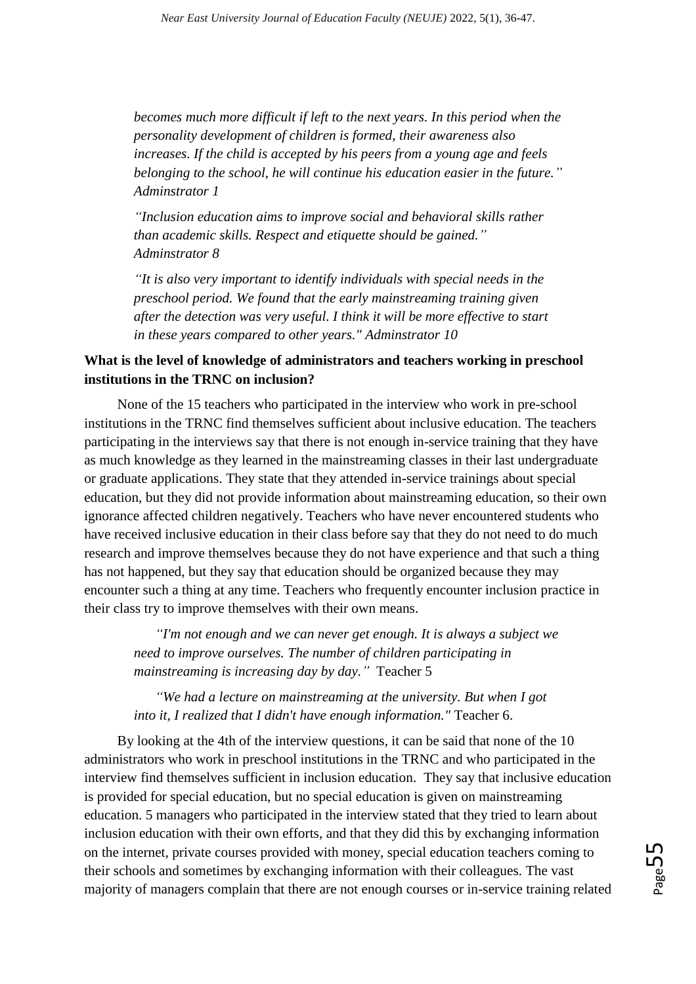*becomes much more difficult if left to the next years. In this period when the personality development of children is formed, their awareness also increases. If the child is accepted by his peers from a young age and feels belonging to the school, he will continue his education easier in the future." Adminstrator 1*

*"Inclusion education aims to improve social and behavioral skills rather than academic skills. Respect and etiquette should be gained." Adminstrator 8*

*"It is also very important to identify individuals with special needs in the preschool period. We found that the early mainstreaming training given after the detection was very useful. I think it will be more effective to start in these years compared to other years." Adminstrator 10*

# **What is the level of knowledge of administrators and teachers working in preschool institutions in the TRNC on inclusion?**

None of the 15 teachers who participated in the interview who work in pre-school institutions in the TRNC find themselves sufficient about inclusive education. The teachers participating in the interviews say that there is not enough in-service training that they have as much knowledge as they learned in the mainstreaming classes in their last undergraduate or graduate applications. They state that they attended in-service trainings about special education, but they did not provide information about mainstreaming education, so their own ignorance affected children negatively. Teachers who have never encountered students who have received inclusive education in their class before say that they do not need to do much research and improve themselves because they do not have experience and that such a thing has not happened, but they say that education should be organized because they may encounter such a thing at any time. Teachers who frequently encounter inclusion practice in their class try to improve themselves with their own means.

*"I'm not enough and we can never get enough. It is always a subject we need to improve ourselves. The number of children participating in mainstreaming is increasing day by day."* Teacher 5

*"We had a lecture on mainstreaming at the university. But when I got into it, I realized that I didn't have enough information."* Teacher 6.

By looking at the 4th of the interview questions, it can be said that none of the 10 administrators who work in preschool institutions in the TRNC and who participated in the interview find themselves sufficient in inclusion education. They say that inclusive education is provided for special education, but no special education is given on mainstreaming education. 5 managers who participated in the interview stated that they tried to learn about inclusion education with their own efforts, and that they did this by exchanging information on the internet, private courses provided with money, special education teachers coming to their schools and sometimes by exchanging information with their colleagues. The vast majority of managers complain that there are not enough courses or in-service training related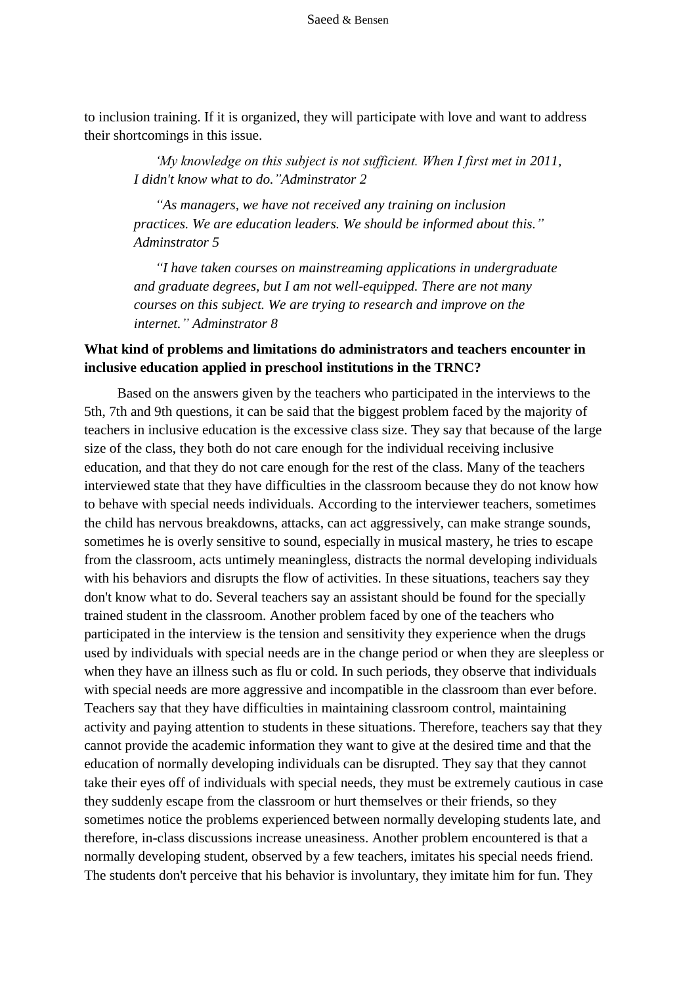to inclusion training. If it is organized, they will participate with love and want to address their shortcomings in this issue.

*'My knowledge on this subject is not sufficient. When I first met in 2011, I didn't know what to do."Adminstrator 2*

*"As managers, we have not received any training on inclusion practices. We are education leaders. We should be informed about this." Adminstrator 5*

*"I have taken courses on mainstreaming applications in undergraduate and graduate degrees, but I am not well-equipped. There are not many courses on this subject. We are trying to research and improve on the internet." Adminstrator 8*

# **What kind of problems and limitations do administrators and teachers encounter in inclusive education applied in preschool institutions in the TRNC?**

Based on the answers given by the teachers who participated in the interviews to the 5th, 7th and 9th questions, it can be said that the biggest problem faced by the majority of teachers in inclusive education is the excessive class size. They say that because of the large size of the class, they both do not care enough for the individual receiving inclusive education, and that they do not care enough for the rest of the class. Many of the teachers interviewed state that they have difficulties in the classroom because they do not know how to behave with special needs individuals. According to the interviewer teachers, sometimes the child has nervous breakdowns, attacks, can act aggressively, can make strange sounds, sometimes he is overly sensitive to sound, especially in musical mastery, he tries to escape from the classroom, acts untimely meaningless, distracts the normal developing individuals with his behaviors and disrupts the flow of activities. In these situations, teachers say they don't know what to do. Several teachers say an assistant should be found for the specially trained student in the classroom. Another problem faced by one of the teachers who participated in the interview is the tension and sensitivity they experience when the drugs used by individuals with special needs are in the change period or when they are sleepless or when they have an illness such as flu or cold. In such periods, they observe that individuals with special needs are more aggressive and incompatible in the classroom than ever before. Teachers say that they have difficulties in maintaining classroom control, maintaining activity and paying attention to students in these situations. Therefore, teachers say that they cannot provide the academic information they want to give at the desired time and that the education of normally developing individuals can be disrupted. They say that they cannot take their eyes off of individuals with special needs, they must be extremely cautious in case they suddenly escape from the classroom or hurt themselves or their friends, so they sometimes notice the problems experienced between normally developing students late, and therefore, in-class discussions increase uneasiness. Another problem encountered is that a normally developing student, observed by a few teachers, imitates his special needs friend. The students don't perceive that his behavior is involuntary, they imitate him for fun. They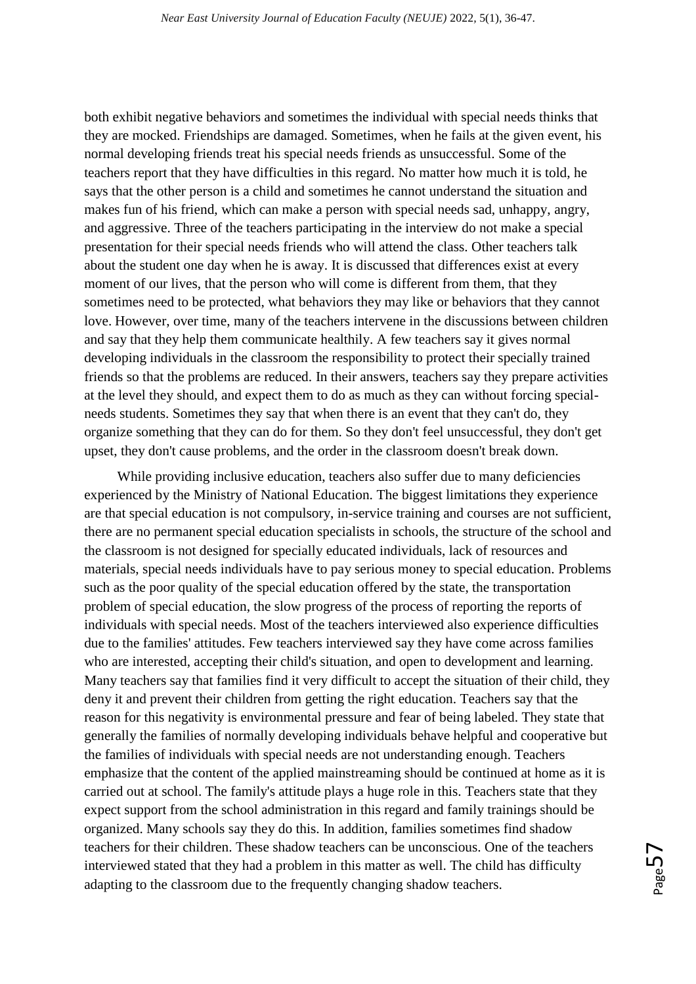both exhibit negative behaviors and sometimes the individual with special needs thinks that they are mocked. Friendships are damaged. Sometimes, when he fails at the given event, his normal developing friends treat his special needs friends as unsuccessful. Some of the teachers report that they have difficulties in this regard. No matter how much it is told, he says that the other person is a child and sometimes he cannot understand the situation and makes fun of his friend, which can make a person with special needs sad, unhappy, angry, and aggressive. Three of the teachers participating in the interview do not make a special presentation for their special needs friends who will attend the class. Other teachers talk about the student one day when he is away. It is discussed that differences exist at every moment of our lives, that the person who will come is different from them, that they sometimes need to be protected, what behaviors they may like or behaviors that they cannot love. However, over time, many of the teachers intervene in the discussions between children and say that they help them communicate healthily. A few teachers say it gives normal developing individuals in the classroom the responsibility to protect their specially trained friends so that the problems are reduced. In their answers, teachers say they prepare activities at the level they should, and expect them to do as much as they can without forcing specialneeds students. Sometimes they say that when there is an event that they can't do, they organize something that they can do for them. So they don't feel unsuccessful, they don't get upset, they don't cause problems, and the order in the classroom doesn't break down.

While providing inclusive education, teachers also suffer due to many deficiencies experienced by the Ministry of National Education. The biggest limitations they experience are that special education is not compulsory, in-service training and courses are not sufficient, there are no permanent special education specialists in schools, the structure of the school and the classroom is not designed for specially educated individuals, lack of resources and materials, special needs individuals have to pay serious money to special education. Problems such as the poor quality of the special education offered by the state, the transportation problem of special education, the slow progress of the process of reporting the reports of individuals with special needs. Most of the teachers interviewed also experience difficulties due to the families' attitudes. Few teachers interviewed say they have come across families who are interested, accepting their child's situation, and open to development and learning. Many teachers say that families find it very difficult to accept the situation of their child, they deny it and prevent their children from getting the right education. Teachers say that the reason for this negativity is environmental pressure and fear of being labeled. They state that generally the families of normally developing individuals behave helpful and cooperative but the families of individuals with special needs are not understanding enough. Teachers emphasize that the content of the applied mainstreaming should be continued at home as it is carried out at school. The family's attitude plays a huge role in this. Teachers state that they expect support from the school administration in this regard and family trainings should be organized. Many schools say they do this. In addition, families sometimes find shadow teachers for their children. These shadow teachers can be unconscious. One of the teachers interviewed stated that they had a problem in this matter as well. The child has difficulty adapting to the classroom due to the frequently changing shadow teachers.

 $\sum_{\text{age}}$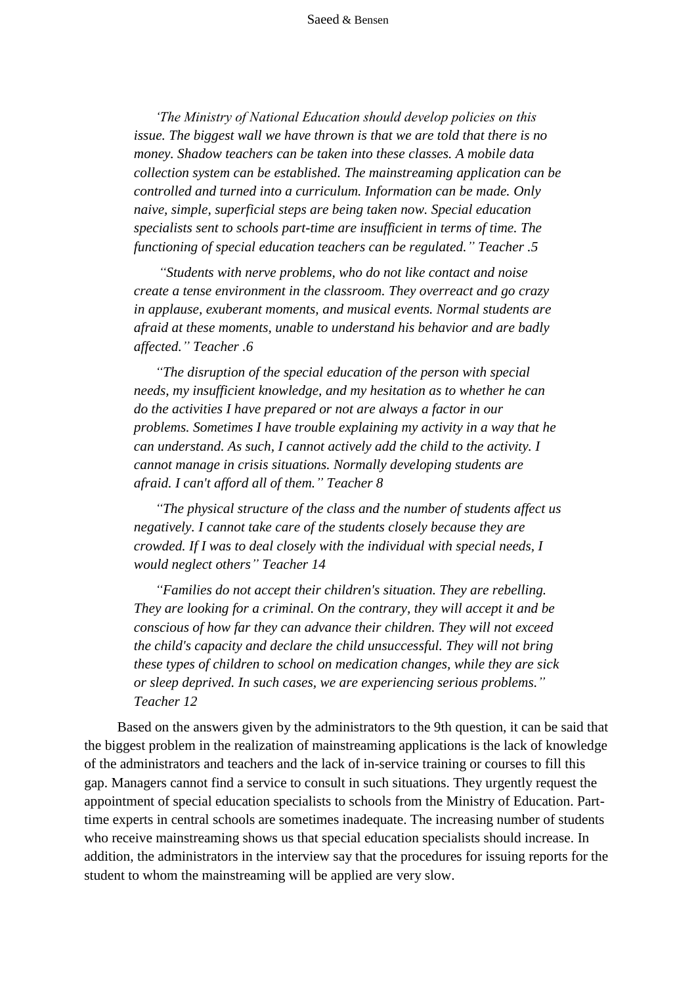*'The Ministry of National Education should develop policies on this issue. The biggest wall we have thrown is that we are told that there is no money. Shadow teachers can be taken into these classes. A mobile data collection system can be established. The mainstreaming application can be controlled and turned into a curriculum. Information can be made. Only naive, simple, superficial steps are being taken now. Special education specialists sent to schools part-time are insufficient in terms of time. The functioning of special education teachers can be regulated." Teacher .5*

*"Students with nerve problems, who do not like contact and noise create a tense environment in the classroom. They overreact and go crazy in applause, exuberant moments, and musical events. Normal students are afraid at these moments, unable to understand his behavior and are badly affected." Teacher .6*

*"The disruption of the special education of the person with special needs, my insufficient knowledge, and my hesitation as to whether he can do the activities I have prepared or not are always a factor in our problems. Sometimes I have trouble explaining my activity in a way that he can understand. As such, I cannot actively add the child to the activity. I cannot manage in crisis situations. Normally developing students are afraid. I can't afford all of them." Teacher 8*

*"The physical structure of the class and the number of students affect us negatively. I cannot take care of the students closely because they are crowded. If I was to deal closely with the individual with special needs, I would neglect others" Teacher 14*

*"Families do not accept their children's situation. They are rebelling. They are looking for a criminal. On the contrary, they will accept it and be conscious of how far they can advance their children. They will not exceed the child's capacity and declare the child unsuccessful. They will not bring these types of children to school on medication changes, while they are sick or sleep deprived. In such cases, we are experiencing serious problems." Teacher 12*

Based on the answers given by the administrators to the 9th question, it can be said that the biggest problem in the realization of mainstreaming applications is the lack of knowledge of the administrators and teachers and the lack of in-service training or courses to fill this gap. Managers cannot find a service to consult in such situations. They urgently request the appointment of special education specialists to schools from the Ministry of Education. Parttime experts in central schools are sometimes inadequate. The increasing number of students who receive mainstreaming shows us that special education specialists should increase. In addition, the administrators in the interview say that the procedures for issuing reports for the student to whom the mainstreaming will be applied are very slow.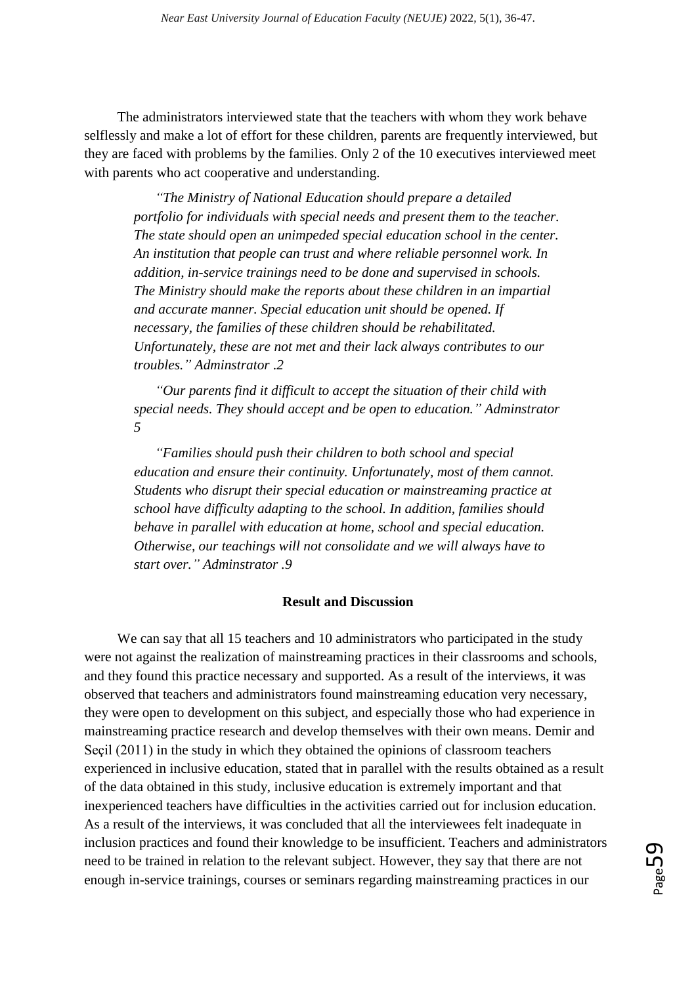The administrators interviewed state that the teachers with whom they work behave selflessly and make a lot of effort for these children, parents are frequently interviewed, but they are faced with problems by the families. Only 2 of the 10 executives interviewed meet with parents who act cooperative and understanding.

*"The Ministry of National Education should prepare a detailed portfolio for individuals with special needs and present them to the teacher. The state should open an unimpeded special education school in the center. An institution that people can trust and where reliable personnel work. In addition, in-service trainings need to be done and supervised in schools. The Ministry should make the reports about these children in an impartial and accurate manner. Special education unit should be opened. If necessary, the families of these children should be rehabilitated. Unfortunately, these are not met and their lack always contributes to our troubles." Adminstrator .2*

*"Our parents find it difficult to accept the situation of their child with special needs. They should accept and be open to education." Adminstrator 5*

*"Families should push their children to both school and special education and ensure their continuity. Unfortunately, most of them cannot. Students who disrupt their special education or mainstreaming practice at school have difficulty adapting to the school. In addition, families should behave in parallel with education at home, school and special education. Otherwise, our teachings will not consolidate and we will always have to start over." Adminstrator .9*

#### **Result and Discussion**

We can say that all 15 teachers and 10 administrators who participated in the study were not against the realization of mainstreaming practices in their classrooms and schools, and they found this practice necessary and supported. As a result of the interviews, it was observed that teachers and administrators found mainstreaming education very necessary, they were open to development on this subject, and especially those who had experience in mainstreaming practice research and develop themselves with their own means. Demir and Seçil (2011) in the study in which they obtained the opinions of classroom teachers experienced in inclusive education, stated that in parallel with the results obtained as a result of the data obtained in this study, inclusive education is extremely important and that inexperienced teachers have difficulties in the activities carried out for inclusion education. As a result of the interviews, it was concluded that all the interviewees felt inadequate in inclusion practices and found their knowledge to be insufficient. Teachers and administrators need to be trained in relation to the relevant subject. However, they say that there are not enough in-service trainings, courses or seminars regarding mainstreaming practices in our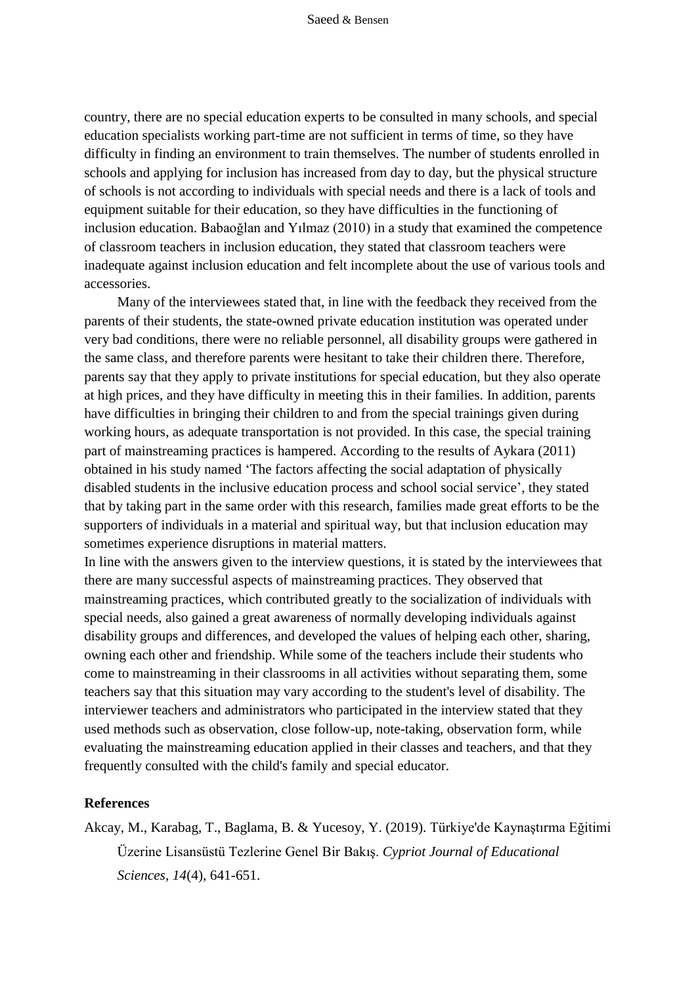#### Saeed & Bensen

country, there are no special education experts to be consulted in many schools, and special education specialists working part-time are not sufficient in terms of time, so they have difficulty in finding an environment to train themselves. The number of students enrolled in schools and applying for inclusion has increased from day to day, but the physical structure of schools is not according to individuals with special needs and there is a lack of tools and equipment suitable for their education, so they have difficulties in the functioning of inclusion education. Babaoğlan and Yılmaz (2010) in a study that examined the competence of classroom teachers in inclusion education, they stated that classroom teachers were inadequate against inclusion education and felt incomplete about the use of various tools and accessories.

Many of the interviewees stated that, in line with the feedback they received from the parents of their students, the state-owned private education institution was operated under very bad conditions, there were no reliable personnel, all disability groups were gathered in the same class, and therefore parents were hesitant to take their children there. Therefore, parents say that they apply to private institutions for special education, but they also operate at high prices, and they have difficulty in meeting this in their families. In addition, parents have difficulties in bringing their children to and from the special trainings given during working hours, as adequate transportation is not provided. In this case, the special training part of mainstreaming practices is hampered. According to the results of Aykara (2011) obtained in his study named 'The factors affecting the social adaptation of physically disabled students in the inclusive education process and school social service', they stated that by taking part in the same order with this research, families made great efforts to be the supporters of individuals in a material and spiritual way, but that inclusion education may sometimes experience disruptions in material matters.

In line with the answers given to the interview questions, it is stated by the interviewees that there are many successful aspects of mainstreaming practices. They observed that mainstreaming practices, which contributed greatly to the socialization of individuals with special needs, also gained a great awareness of normally developing individuals against disability groups and differences, and developed the values of helping each other, sharing, owning each other and friendship. While some of the teachers include their students who come to mainstreaming in their classrooms in all activities without separating them, some teachers say that this situation may vary according to the student's level of disability. The interviewer teachers and administrators who participated in the interview stated that they used methods such as observation, close follow-up, note-taking, observation form, while evaluating the mainstreaming education applied in their classes and teachers, and that they frequently consulted with the child's family and special educator.

#### **References**

Akcay, M., Karabag, T., Baglama, B. & Yucesoy, Y. (2019). Türkiye'de Kaynaştırma Eğitimi Üzerine Lisansüstü Tezlerine Genel Bir Bakış. *Cypriot Journal of Educational Sciences*, *14*(4), 641-651.